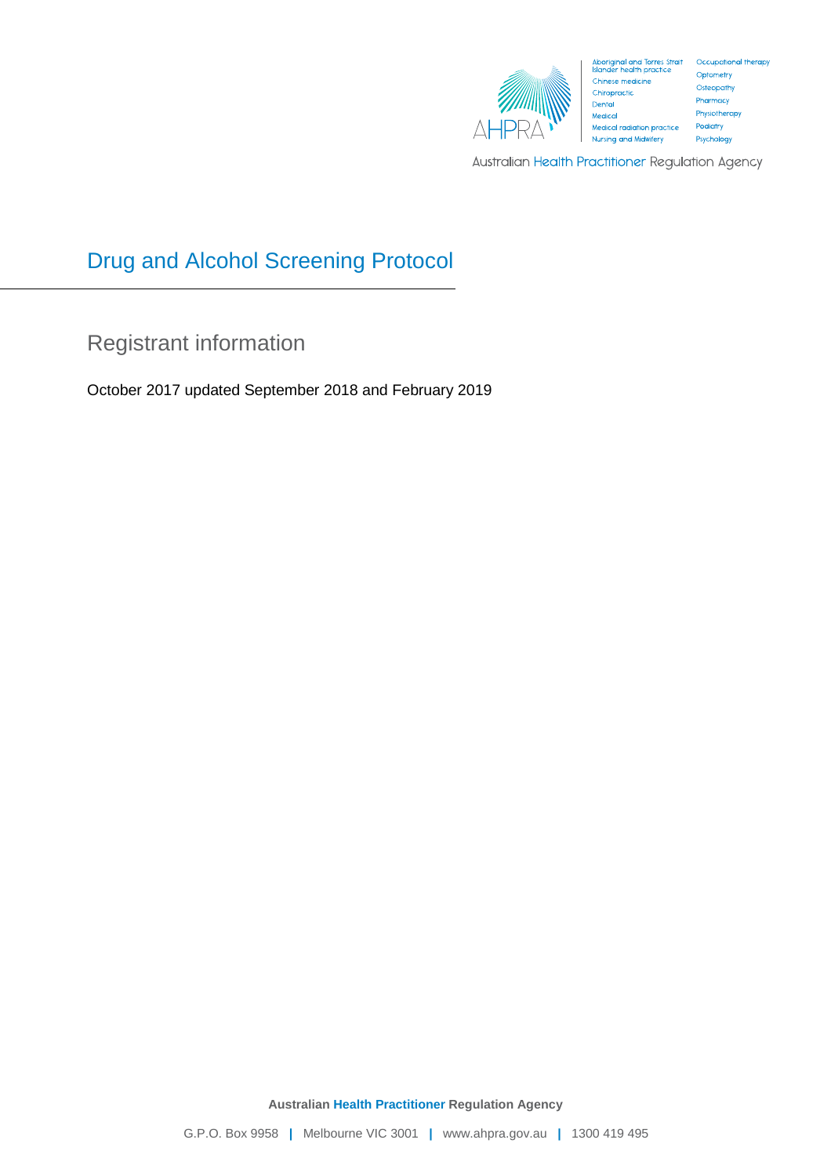

Australian Health Practitioner Regulation Agency

# Drug and Alcohol Screening Protocol

Registrant information

October 2017 updated September 2018 and February 2019

**Australian Health Practitioner Regulation Agency**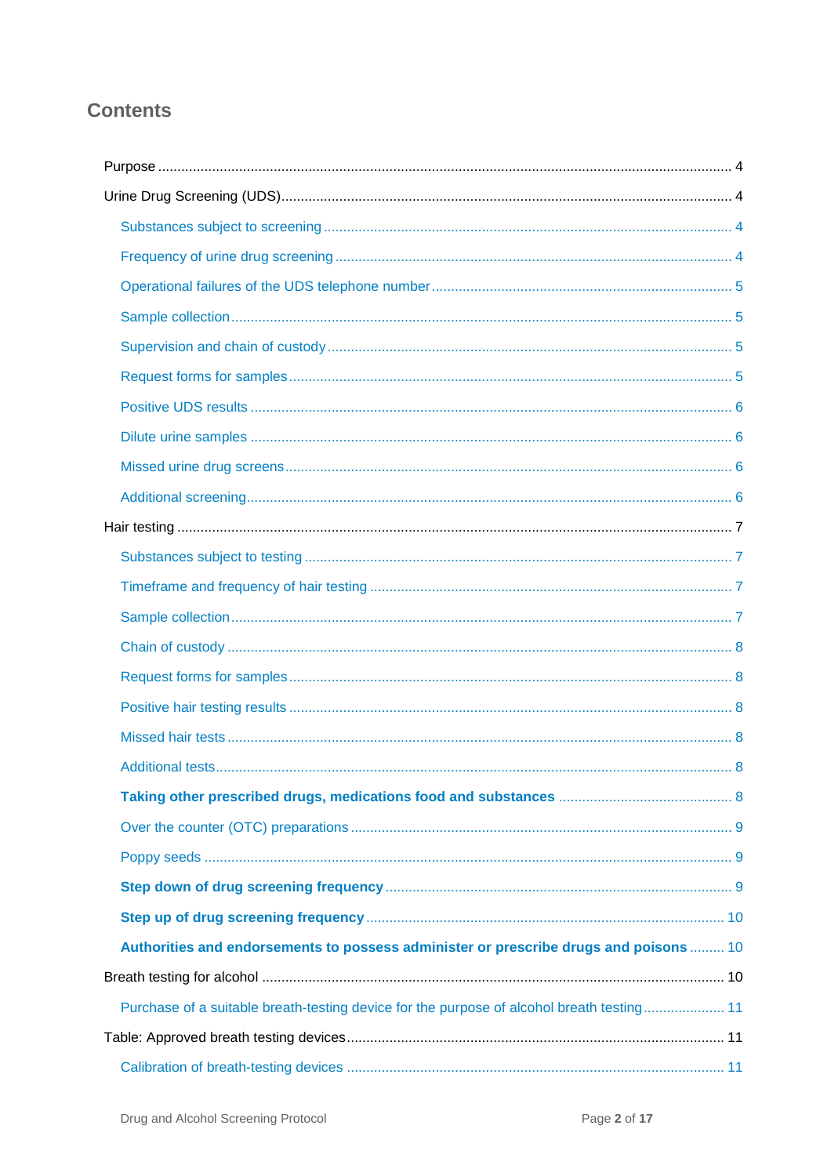## **Contents**

| Authorities and endorsements to possess administer or prescribe drugs and poisons  10     |  |
|-------------------------------------------------------------------------------------------|--|
|                                                                                           |  |
| Purchase of a suitable breath-testing device for the purpose of alcohol breath testing 11 |  |
|                                                                                           |  |
|                                                                                           |  |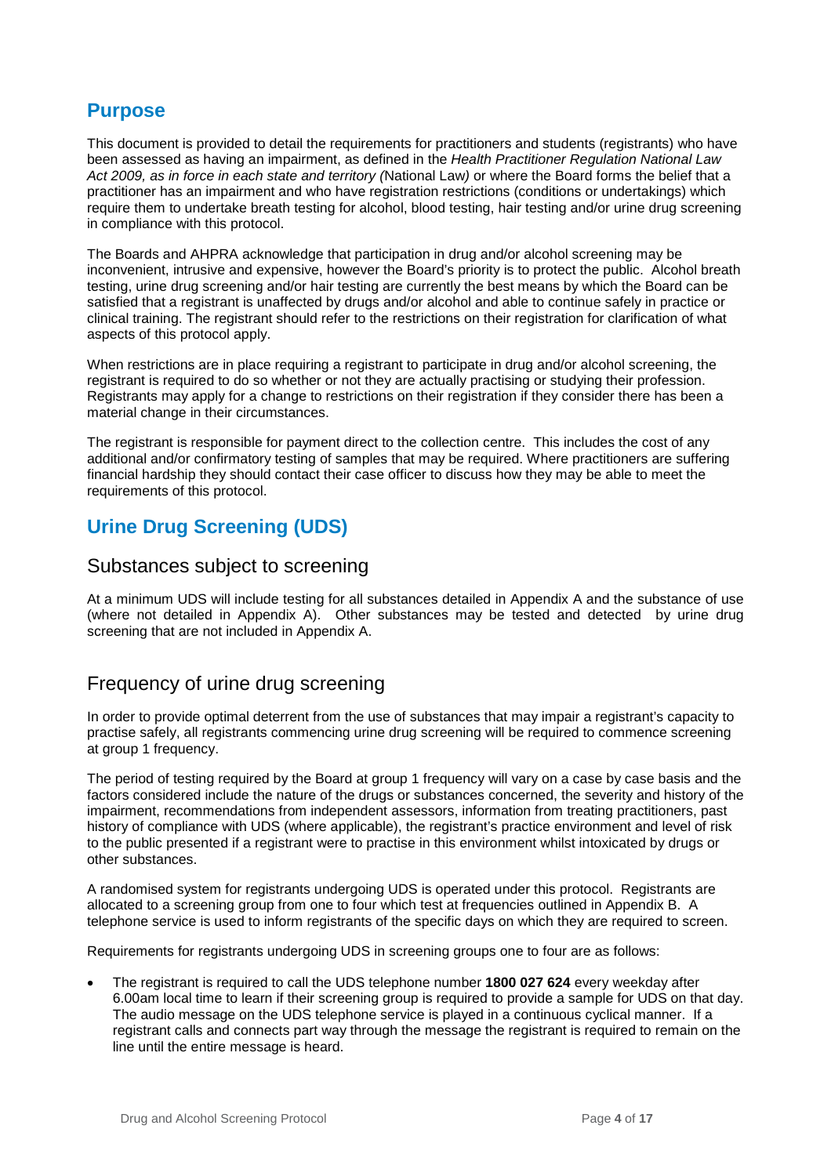## <span id="page-3-0"></span>**Purpose**

This document is provided to detail the requirements for practitioners and students (registrants) who have been assessed as having an impairment, as defined in the *Health Practitioner Regulation National Law Act 2009, as in force in each state and territory (*National Law*)* or where the Board forms the belief that a practitioner has an impairment and who have registration restrictions (conditions or undertakings) which require them to undertake breath testing for alcohol, blood testing, hair testing and/or urine drug screening in compliance with this protocol.

The Boards and AHPRA acknowledge that participation in drug and/or alcohol screening may be inconvenient, intrusive and expensive, however the Board's priority is to protect the public. Alcohol breath testing, urine drug screening and/or hair testing are currently the best means by which the Board can be satisfied that a registrant is unaffected by drugs and/or alcohol and able to continue safely in practice or clinical training. The registrant should refer to the restrictions on their registration for clarification of what aspects of this protocol apply.

When restrictions are in place requiring a registrant to participate in drug and/or alcohol screening, the registrant is required to do so whether or not they are actually practising or studying their profession. Registrants may apply for a change to restrictions on their registration if they consider there has been a material change in their circumstances.

The registrant is responsible for payment direct to the collection centre. This includes the cost of any additional and/or confirmatory testing of samples that may be required. Where practitioners are suffering financial hardship they should contact their case officer to discuss how they may be able to meet the requirements of this protocol.

## <span id="page-3-1"></span>**Urine Drug Screening (UDS)**

### <span id="page-3-2"></span>Substances subject to screening

At a minimum UDS will include testing for all substances detailed in Appendix A and the substance of use (where not detailed in Appendix A). Other substances may be tested and detected by urine drug screening that are not included in Appendix A.

## <span id="page-3-3"></span>Frequency of urine drug screening

In order to provide optimal deterrent from the use of substances that may impair a registrant's capacity to practise safely, all registrants commencing urine drug screening will be required to commence screening at group 1 frequency.

The period of testing required by the Board at group 1 frequency will vary on a case by case basis and the factors considered include the nature of the drugs or substances concerned, the severity and history of the impairment, recommendations from independent assessors, information from treating practitioners, past history of compliance with UDS (where applicable), the registrant's practice environment and level of risk to the public presented if a registrant were to practise in this environment whilst intoxicated by drugs or other substances.

A randomised system for registrants undergoing UDS is operated under this protocol. Registrants are allocated to a screening group from one to four which test at frequencies outlined in Appendix B. A telephone service is used to inform registrants of the specific days on which they are required to screen.

Requirements for registrants undergoing UDS in screening groups one to four are as follows:

• The registrant is required to call the UDS telephone number **1800 027 624** every weekday after 6.00am local time to learn if their screening group is required to provide a sample for UDS on that day. The audio message on the UDS telephone service is played in a continuous cyclical manner. If a registrant calls and connects part way through the message the registrant is required to remain on the line until the entire message is heard.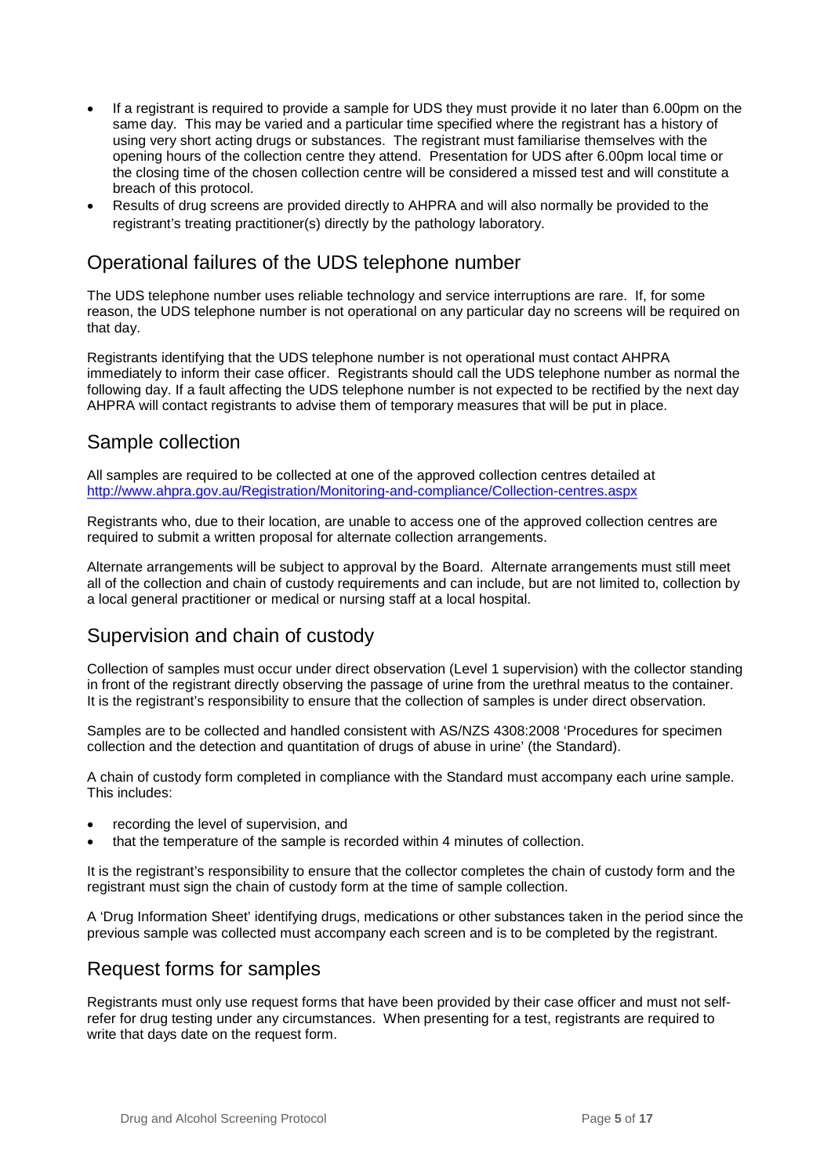- If a registrant is required to provide a sample for UDS they must provide it no later than 6.00pm on the same day. This may be varied and a particular time specified where the registrant has a history of using very short acting drugs or substances. The registrant must familiarise themselves with the opening hours of the collection centre they attend. Presentation for UDS after 6.00pm local time or the closing time of the chosen collection centre will be considered a missed test and will constitute a breach of this protocol.
- Results of drug screens are provided directly to AHPRA and will also normally be provided to the registrant's treating practitioner(s) directly by the pathology laboratory.

### <span id="page-4-0"></span>Operational failures of the UDS telephone number

The UDS telephone number uses reliable technology and service interruptions are rare. If, for some reason, the UDS telephone number is not operational on any particular day no screens will be required on that day.

Registrants identifying that the UDS telephone number is not operational must contact AHPRA immediately to inform their case officer. Registrants should call the UDS telephone number as normal the following day. If a fault affecting the UDS telephone number is not expected to be rectified by the next day AHPRA will contact registrants to advise them of temporary measures that will be put in place.

### <span id="page-4-1"></span>Sample collection

All samples are required to be collected at one of the approved collection centres detailed at <http://www.ahpra.gov.au/Registration/Monitoring-and-compliance/Collection-centres.aspx>

Registrants who, due to their location, are unable to access one of the approved collection centres are required to submit a written proposal for alternate collection arrangements.

Alternate arrangements will be subject to approval by the Board. Alternate arrangements must still meet all of the collection and chain of custody requirements and can include, but are not limited to, collection by a local general practitioner or medical or nursing staff at a local hospital.

### <span id="page-4-2"></span>Supervision and chain of custody

Collection of samples must occur under direct observation (Level 1 supervision) with the collector standing in front of the registrant directly observing the passage of urine from the urethral meatus to the container. It is the registrant's responsibility to ensure that the collection of samples is under direct observation.

Samples are to be collected and handled consistent with AS/NZS 4308:2008 'Procedures for specimen collection and the detection and quantitation of drugs of abuse in urine' (the Standard).

A chain of custody form completed in compliance with the Standard must accompany each urine sample. This includes:

- recording the level of supervision, and
- that the temperature of the sample is recorded within 4 minutes of collection.

It is the registrant's responsibility to ensure that the collector completes the chain of custody form and the registrant must sign the chain of custody form at the time of sample collection.

A 'Drug Information Sheet' identifying drugs, medications or other substances taken in the period since the previous sample was collected must accompany each screen and is to be completed by the registrant.

### <span id="page-4-3"></span>Request forms for samples

Registrants must only use request forms that have been provided by their case officer and must not selfrefer for drug testing under any circumstances. When presenting for a test, registrants are required to write that days date on the request form.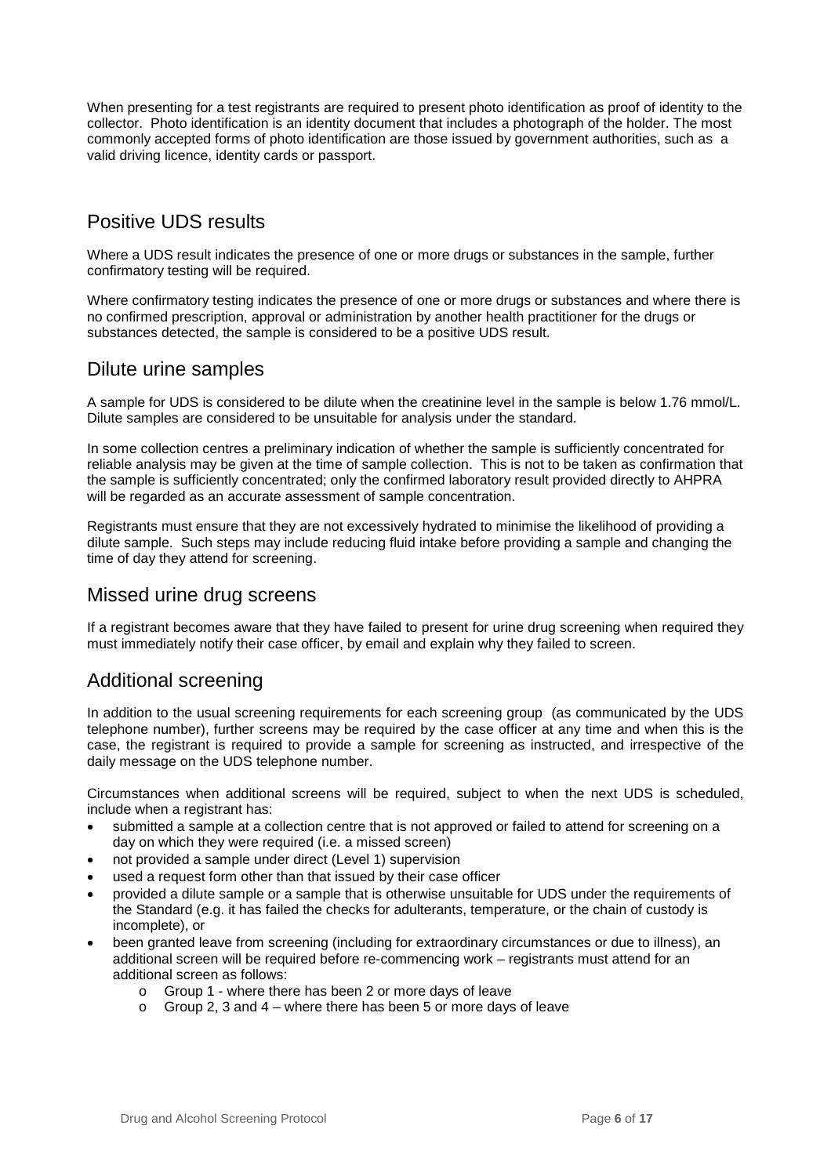When presenting for a test registrants are required to present photo identification as proof of identity to the collector. Photo identification is an [identity document](https://en.wikipedia.org/wiki/Identity_document) that includes a [photograph](https://en.wikipedia.org/wiki/Photograph) of the holder. The most commonly accepted forms of photo identification are those issued by government authorities, such as a valid driving licence, [identity cards](https://en.wikipedia.org/wiki/Identity_card) or [passport.](https://en.wikipedia.org/wiki/Passport)

## <span id="page-5-0"></span>Positive UDS results

Where a UDS result indicates the presence of one or more drugs or substances in the sample, further confirmatory testing will be required.

Where confirmatory testing indicates the presence of one or more drugs or substances and where there is no confirmed prescription, approval or administration by another health practitioner for the drugs or substances detected, the sample is considered to be a positive UDS result.

### <span id="page-5-1"></span>Dilute urine samples

A sample for UDS is considered to be dilute when the creatinine level in the sample is below 1.76 mmol/L. Dilute samples are considered to be unsuitable for analysis under the standard.

In some collection centres a preliminary indication of whether the sample is sufficiently concentrated for reliable analysis may be given at the time of sample collection. This is not to be taken as confirmation that the sample is sufficiently concentrated; only the confirmed laboratory result provided directly to AHPRA will be regarded as an accurate assessment of sample concentration.

Registrants must ensure that they are not excessively hydrated to minimise the likelihood of providing a dilute sample. Such steps may include reducing fluid intake before providing a sample and changing the time of day they attend for screening.

### <span id="page-5-2"></span>Missed urine drug screens

If a registrant becomes aware that they have failed to present for urine drug screening when required they must immediately notify their case officer, by email and explain why they failed to screen.

### <span id="page-5-3"></span>Additional screening

In addition to the usual screening requirements for each screening group (as communicated by the UDS telephone number), further screens may be required by the case officer at any time and when this is the case, the registrant is required to provide a sample for screening as instructed, and irrespective of the daily message on the UDS telephone number.

Circumstances when additional screens will be required, subject to when the next UDS is scheduled, include when a registrant has:

- submitted a sample at a collection centre that is not approved or failed to attend for screening on a day on which they were required (i.e. a missed screen)
- not provided a sample under direct (Level 1) supervision
- used a request form other than that issued by their case officer
- provided a dilute sample or a sample that is otherwise unsuitable for UDS under the requirements of the Standard (e.g. it has failed the checks for adulterants, temperature, or the chain of custody is incomplete), or
- been granted leave from screening (including for extraordinary circumstances or due to illness), an additional screen will be required before re-commencing work – registrants must attend for an additional screen as follows:
	- o Group 1 where there has been 2 or more days of leave
	- $\circ$  Group 2, 3 and 4 where there has been 5 or more days of leave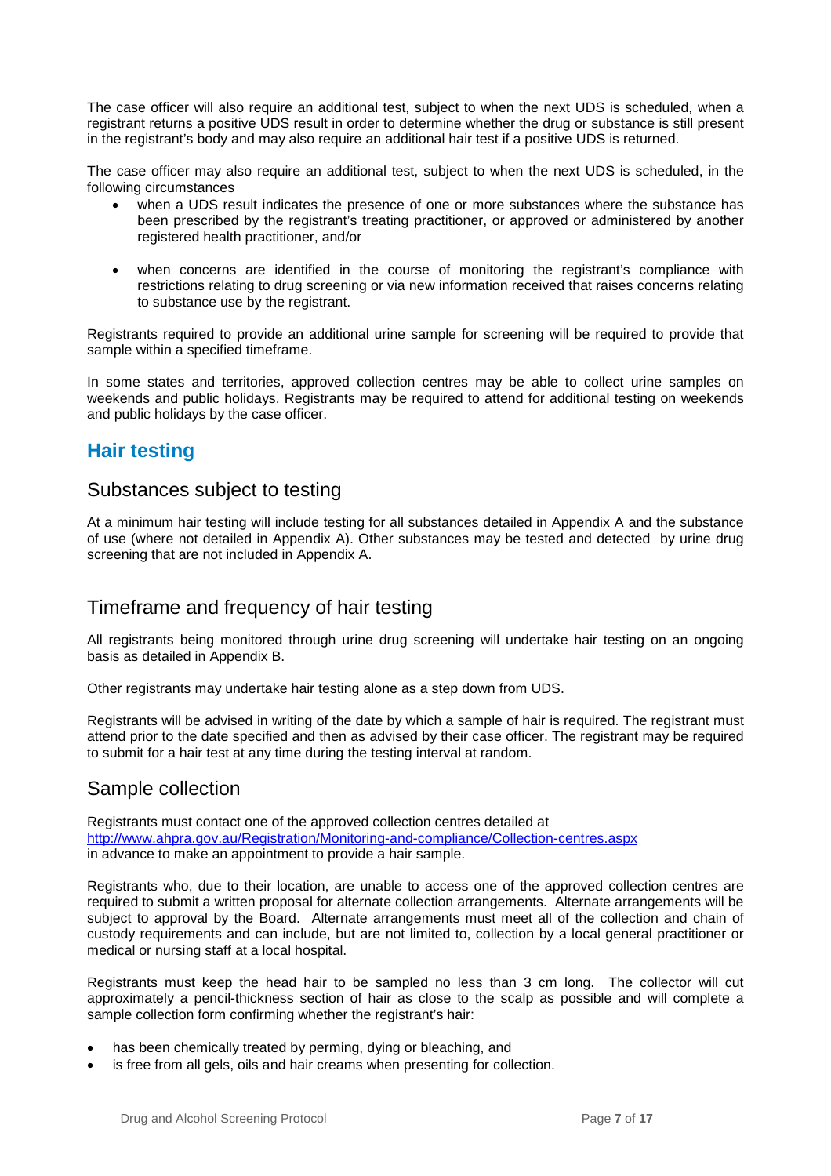The case officer will also require an additional test, subject to when the next UDS is scheduled, when a registrant returns a positive UDS result in order to determine whether the drug or substance is still present in the registrant's body and may also require an additional hair test if a positive UDS is returned.

The case officer may also require an additional test, subject to when the next UDS is scheduled, in the following circumstances

- when a UDS result indicates the presence of one or more substances where the substance has been prescribed by the registrant's treating practitioner, or approved or administered by another registered health practitioner, and/or
- when concerns are identified in the course of monitoring the registrant's compliance with restrictions relating to drug screening or via new information received that raises concerns relating to substance use by the registrant.

Registrants required to provide an additional urine sample for screening will be required to provide that sample within a specified timeframe.

In some states and territories, approved collection centres may be able to collect urine samples on weekends and public holidays. Registrants may be required to attend for additional testing on weekends and public holidays by the case officer.

## <span id="page-6-0"></span>**Hair testing**

### <span id="page-6-1"></span>Substances subject to testing

At a minimum hair testing will include testing for all substances detailed in Appendix A and the substance of use (where not detailed in Appendix A). Other substances may be tested and detected by urine drug screening that are not included in Appendix A.

### <span id="page-6-2"></span>Timeframe and frequency of hair testing

All registrants being monitored through urine drug screening will undertake hair testing on an ongoing basis as detailed in Appendix B.

Other registrants may undertake hair testing alone as a step down from UDS.

Registrants will be advised in writing of the date by which a sample of hair is required. The registrant must attend prior to the date specified and then as advised by their case officer. The registrant may be required to submit for a hair test at any time during the testing interval at random.

### <span id="page-6-3"></span>Sample collection

Registrants must contact one of the approved collection centres detailed at <http://www.ahpra.gov.au/Registration/Monitoring-and-compliance/Collection-centres.aspx> in advance to make an appointment to provide a hair sample.

Registrants who, due to their location, are unable to access one of the approved collection centres are required to submit a written proposal for alternate collection arrangements. Alternate arrangements will be subject to approval by the Board. Alternate arrangements must meet all of the collection and chain of custody requirements and can include, but are not limited to, collection by a local general practitioner or medical or nursing staff at a local hospital.

Registrants must keep the head hair to be sampled no less than 3 cm long. The collector will cut approximately a pencil-thickness section of hair as close to the scalp as possible and will complete a sample collection form confirming whether the registrant's hair:

- has been chemically treated by perming, dying or bleaching, and
- is free from all gels, oils and hair creams when presenting for collection.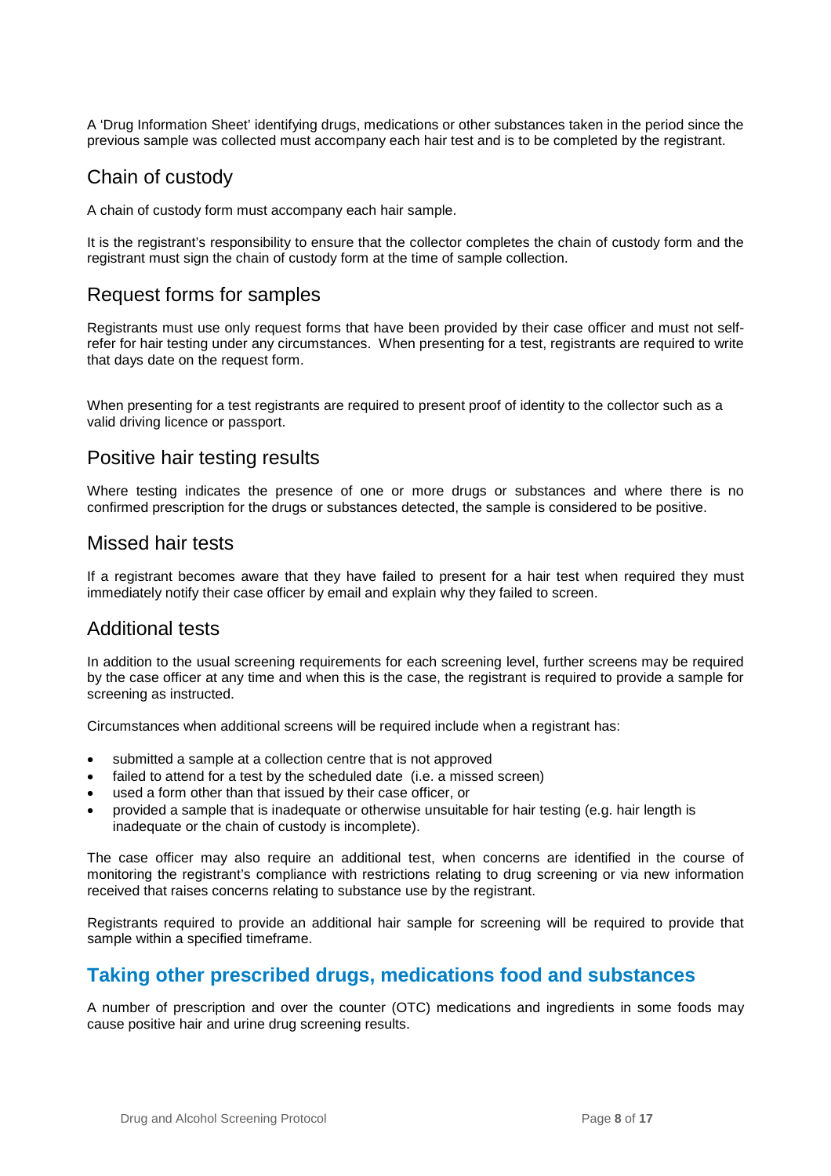A 'Drug Information Sheet' identifying drugs, medications or other substances taken in the period since the previous sample was collected must accompany each hair test and is to be completed by the registrant.

### <span id="page-7-0"></span>Chain of custody

A chain of custody form must accompany each hair sample.

It is the registrant's responsibility to ensure that the collector completes the chain of custody form and the registrant must sign the chain of custody form at the time of sample collection.

### <span id="page-7-1"></span>Request forms for samples

Registrants must use only request forms that have been provided by their case officer and must not selfrefer for hair testing under any circumstances. When presenting for a test, registrants are required to write that days date on the request form.

When presenting for a test registrants are required to present proof of identity to the collector such as a valid driving licence or passport.

### <span id="page-7-2"></span>Positive hair testing results

Where testing indicates the presence of one or more drugs or substances and where there is no confirmed prescription for the drugs or substances detected, the sample is considered to be positive.

### <span id="page-7-3"></span>Missed hair tests

If a registrant becomes aware that they have failed to present for a hair test when required they must immediately notify their case officer by email and explain why they failed to screen.

### <span id="page-7-4"></span>Additional tests

In addition to the usual screening requirements for each screening level, further screens may be required by the case officer at any time and when this is the case, the registrant is required to provide a sample for screening as instructed.

Circumstances when additional screens will be required include when a registrant has:

- submitted a sample at a collection centre that is not approved
- failed to attend for a test by the scheduled date (i.e. a missed screen)
- used a form other than that issued by their case officer, or
- provided a sample that is inadequate or otherwise unsuitable for hair testing (e.g. hair length is inadequate or the chain of custody is incomplete).

The case officer may also require an additional test, when concerns are identified in the course of monitoring the registrant's compliance with restrictions relating to drug screening or via new information received that raises concerns relating to substance use by the registrant.

Registrants required to provide an additional hair sample for screening will be required to provide that sample within a specified timeframe.

### <span id="page-7-5"></span>**Taking other prescribed drugs, medications food and substances**

A number of prescription and over the counter (OTC) medications and ingredients in some foods may cause positive hair and urine drug screening results.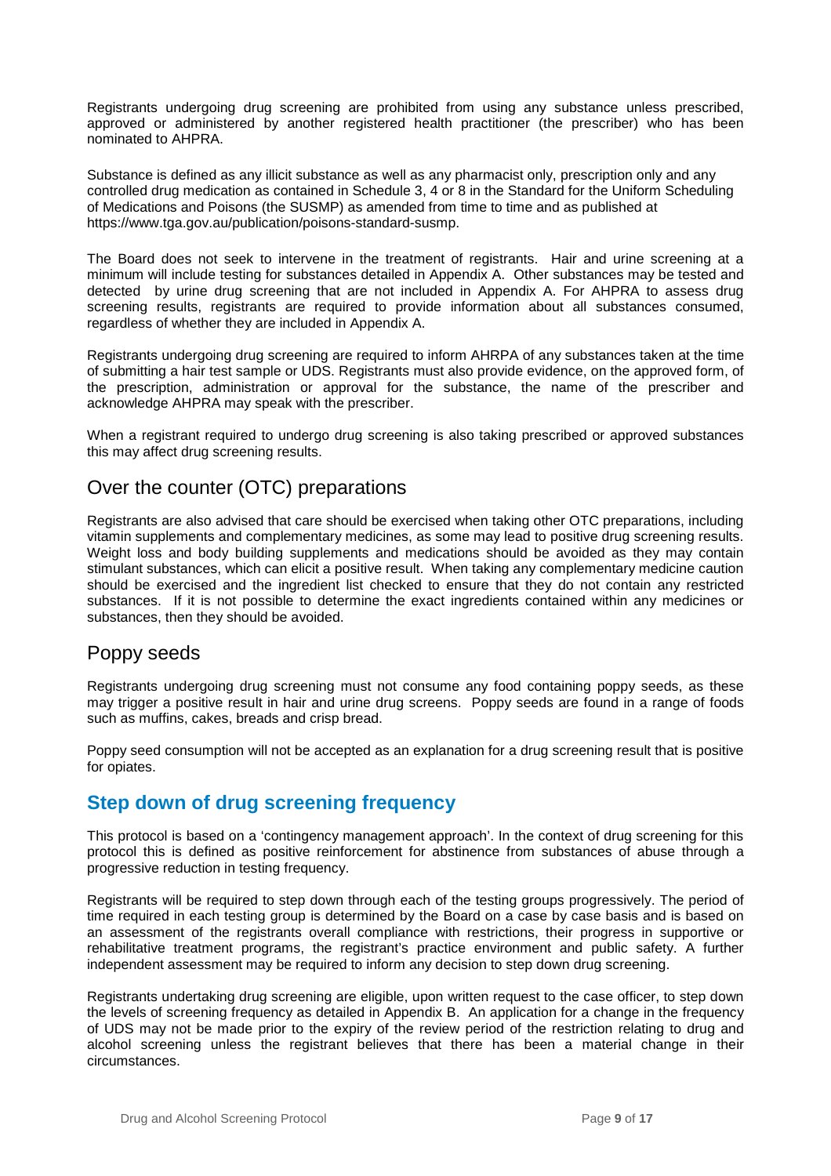Registrants undergoing drug screening are prohibited from using any substance unless prescribed, approved or administered by another registered health practitioner (the prescriber) who has been nominated to AHPRA.

Substance is defined as any illicit substance as well as any pharmacist only, prescription only and any controlled drug medication as contained in Schedule 3, 4 or 8 in the Standard for the Uniform Scheduling of Medications and Poisons (the SUSMP) as amended from time to time and as published at https://www.tga.gov.au/publication/poisons-standard-susmp.

The Board does not seek to intervene in the treatment of registrants. Hair and urine screening at a minimum will include testing for substances detailed in Appendix A. Other substances may be tested and detected by urine drug screening that are not included in Appendix A. For AHPRA to assess drug screening results, registrants are required to provide information about all substances consumed, regardless of whether they are included in Appendix A.

Registrants undergoing drug screening are required to inform AHRPA of any substances taken at the time of submitting a hair test sample or UDS. Registrants must also provide evidence, on the approved form, of the prescription, administration or approval for the substance, the name of the prescriber and acknowledge AHPRA may speak with the prescriber.

When a registrant required to undergo drug screening is also taking prescribed or approved substances this may affect drug screening results.

### <span id="page-8-0"></span>Over the counter (OTC) preparations

Registrants are also advised that care should be exercised when taking other OTC preparations, including vitamin supplements and complementary medicines, as some may lead to positive drug screening results. Weight loss and body building supplements and medications should be avoided as they may contain stimulant substances, which can elicit a positive result. When taking any complementary medicine caution should be exercised and the ingredient list checked to ensure that they do not contain any restricted substances. If it is not possible to determine the exact ingredients contained within any medicines or substances, then they should be avoided.

### <span id="page-8-1"></span>Poppy seeds

Registrants undergoing drug screening must not consume any food containing poppy seeds, as these may trigger a positive result in hair and urine drug screens. Poppy seeds are found in a range of foods such as muffins, cakes, breads and crisp bread.

Poppy seed consumption will not be accepted as an explanation for a drug screening result that is positive for opiates.

### <span id="page-8-2"></span>**Step down of drug screening frequency**

This protocol is based on a 'contingency management approach'. In the context of drug screening for this protocol this is defined as positive reinforcement for abstinence from substances of abuse through a progressive reduction in testing frequency.

Registrants will be required to step down through each of the testing groups progressively. The period of time required in each testing group is determined by the Board on a case by case basis and is based on an assessment of the registrants overall compliance with restrictions, their progress in supportive or rehabilitative treatment programs, the registrant's practice environment and public safety. A further independent assessment may be required to inform any decision to step down drug screening.

Registrants undertaking drug screening are eligible, upon written request to the case officer, to step down the levels of screening frequency as detailed in Appendix B. An application for a change in the frequency of UDS may not be made prior to the expiry of the review period of the restriction relating to drug and alcohol screening unless the registrant believes that there has been a material change in their circumstances.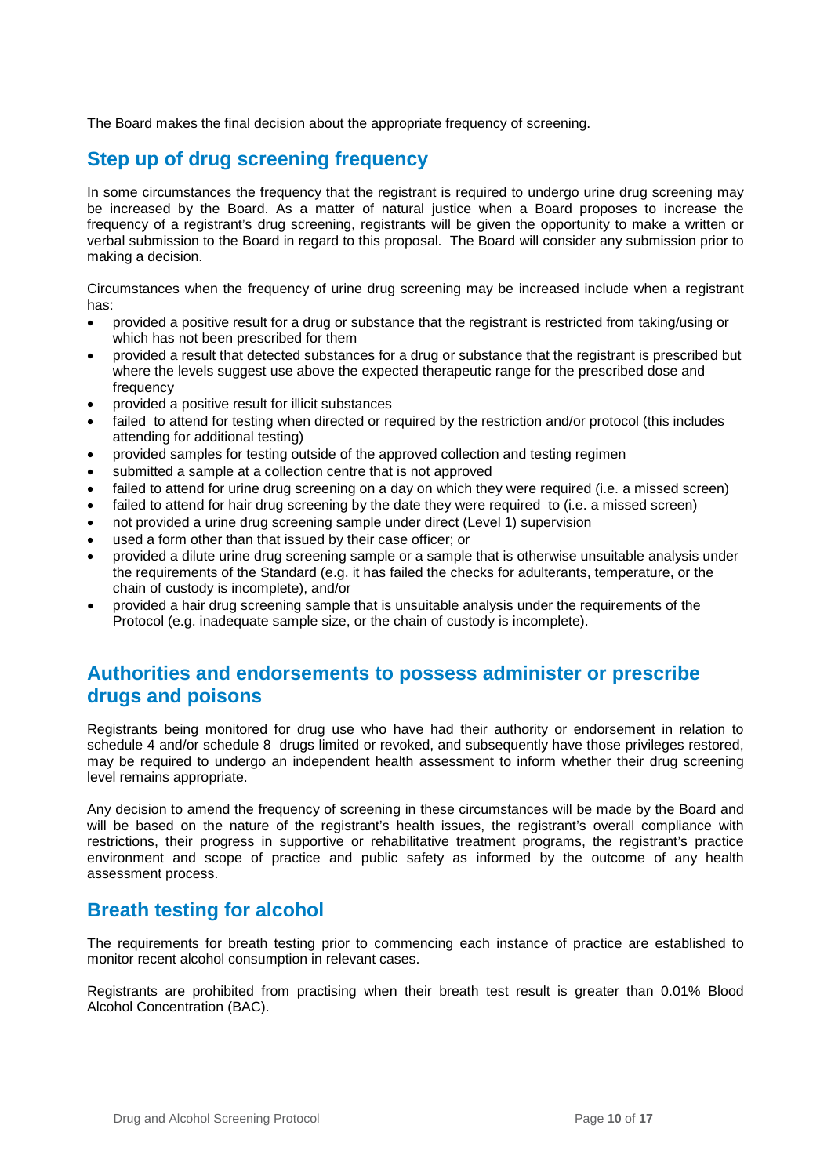<span id="page-9-0"></span>The Board makes the final decision about the appropriate frequency of screening.

## **Step up of drug screening frequency**

In some circumstances the frequency that the registrant is required to undergo urine drug screening may be increased by the Board. As a matter of natural justice when a Board proposes to increase the frequency of a registrant's drug screening, registrants will be given the opportunity to make a written or verbal submission to the Board in regard to this proposal. The Board will consider any submission prior to making a decision.

Circumstances when the frequency of urine drug screening may be increased include when a registrant has:

- provided a positive result for a drug or substance that the registrant is restricted from taking/using or which has not been prescribed for them
- provided a result that detected substances for a drug or substance that the registrant is prescribed but where the levels suggest use above the expected therapeutic range for the prescribed dose and frequency
- provided a positive result for illicit substances
- failed to attend for testing when directed or required by the restriction and/or protocol (this includes attending for additional testing)
- provided samples for testing outside of the approved collection and testing regimen
- submitted a sample at a collection centre that is not approved
- failed to attend for urine drug screening on a day on which they were required (i.e. a missed screen)
- failed to attend for hair drug screening by the date they were required to (i.e. a missed screen)
- not provided a urine drug screening sample under direct (Level 1) supervision
- used a form other than that issued by their case officer; or
- provided a dilute urine drug screening sample or a sample that is otherwise unsuitable analysis under the requirements of the Standard (e.g. it has failed the checks for adulterants, temperature, or the chain of custody is incomplete), and/or
- provided a hair drug screening sample that is unsuitable analysis under the requirements of the Protocol (e.g. inadequate sample size, or the chain of custody is incomplete).

### <span id="page-9-1"></span>**Authorities and endorsements to possess administer or prescribe drugs and poisons**

Registrants being monitored for drug use who have had their authority or endorsement in relation to schedule 4 and/or schedule 8 drugs limited or revoked, and subsequently have those privileges restored, may be required to undergo an independent health assessment to inform whether their drug screening level remains appropriate.

Any decision to amend the frequency of screening in these circumstances will be made by the Board and will be based on the nature of the registrant's health issues, the registrant's overall compliance with restrictions, their progress in supportive or rehabilitative treatment programs, the registrant's practice environment and scope of practice and public safety as informed by the outcome of any health assessment process.

### <span id="page-9-2"></span>**Breath testing for alcohol**

The requirements for breath testing prior to commencing each instance of practice are established to monitor recent alcohol consumption in relevant cases.

Registrants are prohibited from practising when their breath test result is greater than 0.01% Blood Alcohol Concentration (BAC).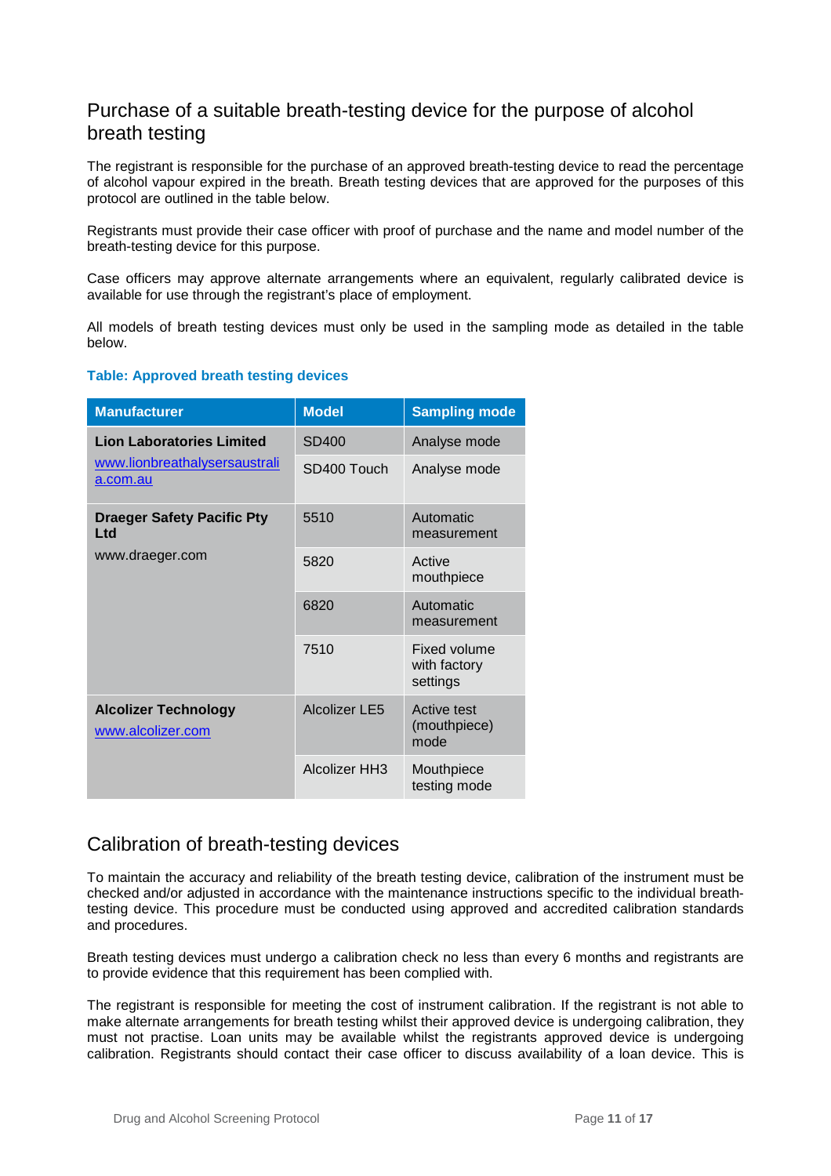### <span id="page-10-0"></span>Purchase of a suitable breath-testing device for the purpose of alcohol breath testing

The registrant is responsible for the purchase of an approved breath-testing device to read the percentage of alcohol vapour expired in the breath. Breath testing devices that are approved for the purposes of this protocol are outlined in the table below.

Registrants must provide their case officer with proof of purchase and the name and model number of the breath-testing device for this purpose.

Case officers may approve alternate arrangements where an equivalent, regularly calibrated device is available for use through the registrant's place of employment.

All models of breath testing devices must only be used in the sampling mode as detailed in the table below.

#### <span id="page-10-1"></span>**Table: Approved breath testing devices**

| <b>Manufacturer</b>                                                           | <b>Model</b>         | <b>Sampling mode</b>                            |
|-------------------------------------------------------------------------------|----------------------|-------------------------------------------------|
| <b>Lion Laboratories Limited</b><br>www.lionbreathalysersaustrali<br>a.com.au | SD400                | Analyse mode                                    |
|                                                                               | SD400 Touch          | Analyse mode                                    |
| <b>Draeger Safety Pacific Pty</b><br>Ltd<br>www.draeger.com                   | 5510                 | Automatic<br>measurement                        |
|                                                                               | 5820                 | Active<br>mouthpiece                            |
|                                                                               | 6820                 | Automatic<br>measurement                        |
|                                                                               | 7510                 | <b>Fixed volume</b><br>with factory<br>settings |
| <b>Alcolizer Technology</b><br>www.alcolizer.com                              | Alcolizer LE5        | Active test<br>(mouthpiece)<br>mode             |
|                                                                               | <b>Alcolizer HH3</b> | Mouthpiece<br>testing mode                      |

### <span id="page-10-2"></span>Calibration of breath-testing devices

To maintain the accuracy and reliability of the breath testing device, calibration of the instrument must be checked and/or adjusted in accordance with the maintenance instructions specific to the individual breathtesting device. This procedure must be conducted using approved and accredited calibration standards and procedures.

Breath testing devices must undergo a calibration check no less than every 6 months and registrants are to provide evidence that this requirement has been complied with.

The registrant is responsible for meeting the cost of instrument calibration. If the registrant is not able to make alternate arrangements for breath testing whilst their approved device is undergoing calibration, they must not practise. Loan units may be available whilst the registrants approved device is undergoing calibration. Registrants should contact their case officer to discuss availability of a loan device. This is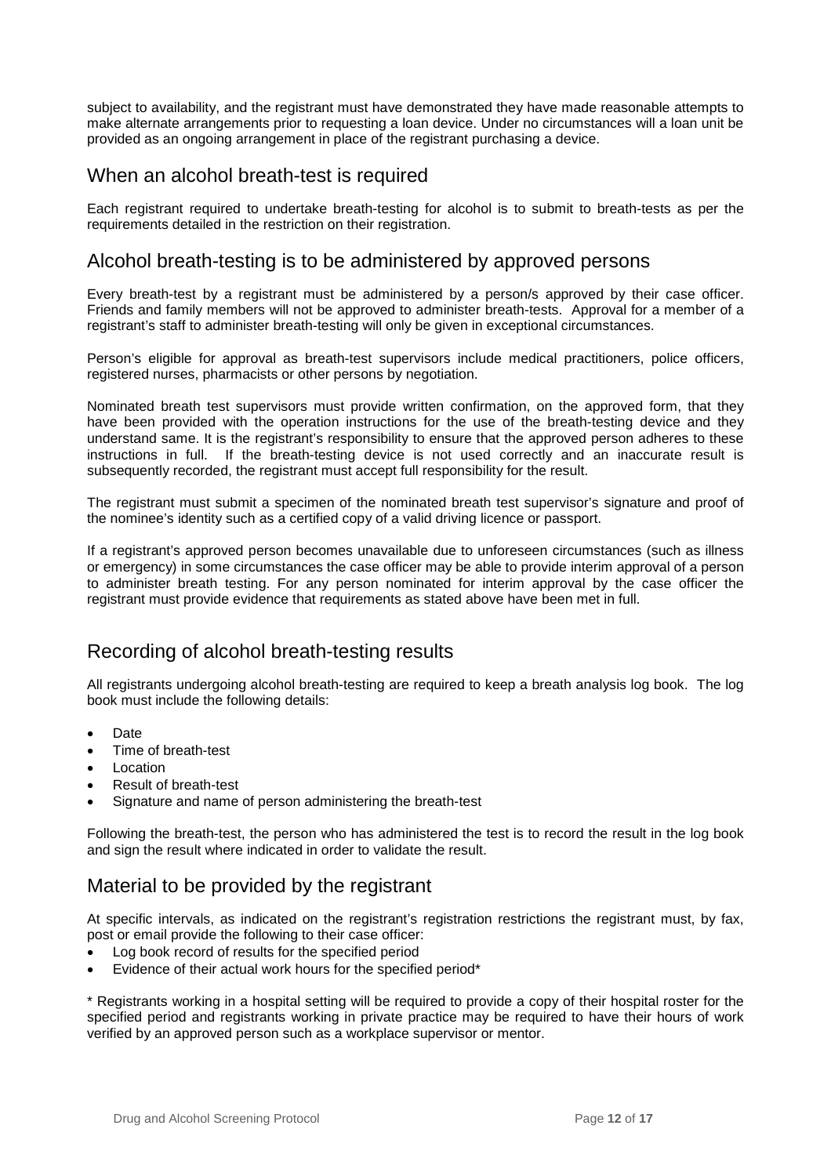subject to availability, and the registrant must have demonstrated they have made reasonable attempts to make alternate arrangements prior to requesting a loan device. Under no circumstances will a loan unit be provided as an ongoing arrangement in place of the registrant purchasing a device.

### <span id="page-11-0"></span>When an alcohol breath-test is required

Each registrant required to undertake breath-testing for alcohol is to submit to breath-tests as per the requirements detailed in the restriction on their registration.

### <span id="page-11-1"></span>Alcohol breath-testing is to be administered by approved persons

Every breath-test by a registrant must be administered by a person/s approved by their case officer. Friends and family members will not be approved to administer breath-tests. Approval for a member of a registrant's staff to administer breath-testing will only be given in exceptional circumstances.

Person's eligible for approval as breath-test supervisors include medical practitioners, police officers, registered nurses, pharmacists or other persons by negotiation.

Nominated breath test supervisors must provide written confirmation, on the approved form, that they have been provided with the operation instructions for the use of the breath-testing device and they understand same. It is the registrant's responsibility to ensure that the approved person adheres to these instructions in full. If the breath-testing device is not used correctly and an inaccurate result is subsequently recorded, the registrant must accept full responsibility for the result.

The registrant must submit a specimen of the nominated breath test supervisor's signature and proof of the nominee's identity such as a certified copy of a valid driving licence or passport.

If a registrant's approved person becomes unavailable due to unforeseen circumstances (such as illness or emergency) in some circumstances the case officer may be able to provide interim approval of a person to administer breath testing. For any person nominated for interim approval by the case officer the registrant must provide evidence that requirements as stated above have been met in full.

### <span id="page-11-2"></span>Recording of alcohol breath-testing results

All registrants undergoing alcohol breath-testing are required to keep a breath analysis log book. The log book must include the following details:

- Date
- Time of breath-test
- **Location**
- Result of breath-test
- Signature and name of person administering the breath-test

Following the breath-test, the person who has administered the test is to record the result in the log book and sign the result where indicated in order to validate the result.

### <span id="page-11-3"></span>Material to be provided by the registrant

At specific intervals, as indicated on the registrant's registration restrictions the registrant must, by fax, post or email provide the following to their case officer:

- Log book record of results for the specified period
- Evidence of their actual work hours for the specified period\*

\* Registrants working in a hospital setting will be required to provide a copy of their hospital roster for the specified period and registrants working in private practice may be required to have their hours of work verified by an approved person such as a workplace supervisor or mentor.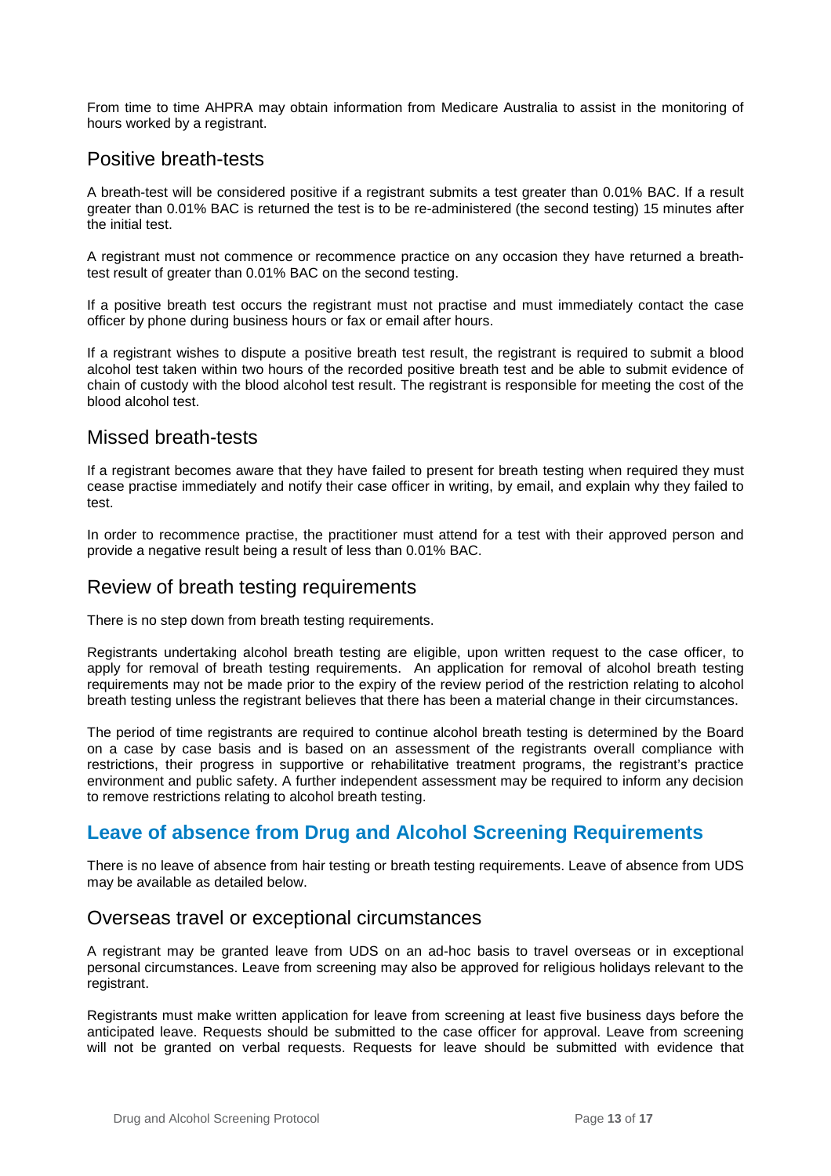From time to time AHPRA may obtain information from Medicare Australia to assist in the monitoring of hours worked by a registrant.

### <span id="page-12-0"></span>Positive breath-tests

A breath-test will be considered positive if a registrant submits a test greater than 0.01% BAC. If a result greater than 0.01% BAC is returned the test is to be re-administered (the second testing) 15 minutes after the initial test.

A registrant must not commence or recommence practice on any occasion they have returned a breathtest result of greater than 0.01% BAC on the second testing.

If a positive breath test occurs the registrant must not practise and must immediately contact the case officer by phone during business hours or fax or email after hours.

If a registrant wishes to dispute a positive breath test result, the registrant is required to submit a blood alcohol test taken within two hours of the recorded positive breath test and be able to submit evidence of chain of custody with the blood alcohol test result. The registrant is responsible for meeting the cost of the blood alcohol test.

### <span id="page-12-1"></span>Missed breath-tests

If a registrant becomes aware that they have failed to present for breath testing when required they must cease practise immediately and notify their case officer in writing, by email, and explain why they failed to test.

In order to recommence practise, the practitioner must attend for a test with their approved person and provide a negative result being a result of less than 0.01% BAC.

#### <span id="page-12-2"></span>Review of breath testing requirements

There is no step down from breath testing requirements.

Registrants undertaking alcohol breath testing are eligible, upon written request to the case officer, to apply for removal of breath testing requirements. An application for removal of alcohol breath testing requirements may not be made prior to the expiry of the review period of the restriction relating to alcohol breath testing unless the registrant believes that there has been a material change in their circumstances.

The period of time registrants are required to continue alcohol breath testing is determined by the Board on a case by case basis and is based on an assessment of the registrants overall compliance with restrictions, their progress in supportive or rehabilitative treatment programs, the registrant's practice environment and public safety. A further independent assessment may be required to inform any decision to remove restrictions relating to alcohol breath testing.

### <span id="page-12-3"></span>**Leave of absence from Drug and Alcohol Screening Requirements**

There is no leave of absence from hair testing or breath testing requirements. Leave of absence from UDS may be available as detailed below.

### <span id="page-12-4"></span>Overseas travel or exceptional circumstances

A registrant may be granted leave from UDS on an ad-hoc basis to travel overseas or in exceptional personal circumstances. Leave from screening may also be approved for religious holidays relevant to the registrant.

Registrants must make written application for leave from screening at least five business days before the anticipated leave. Requests should be submitted to the case officer for approval. Leave from screening will not be granted on verbal requests. Requests for leave should be submitted with evidence that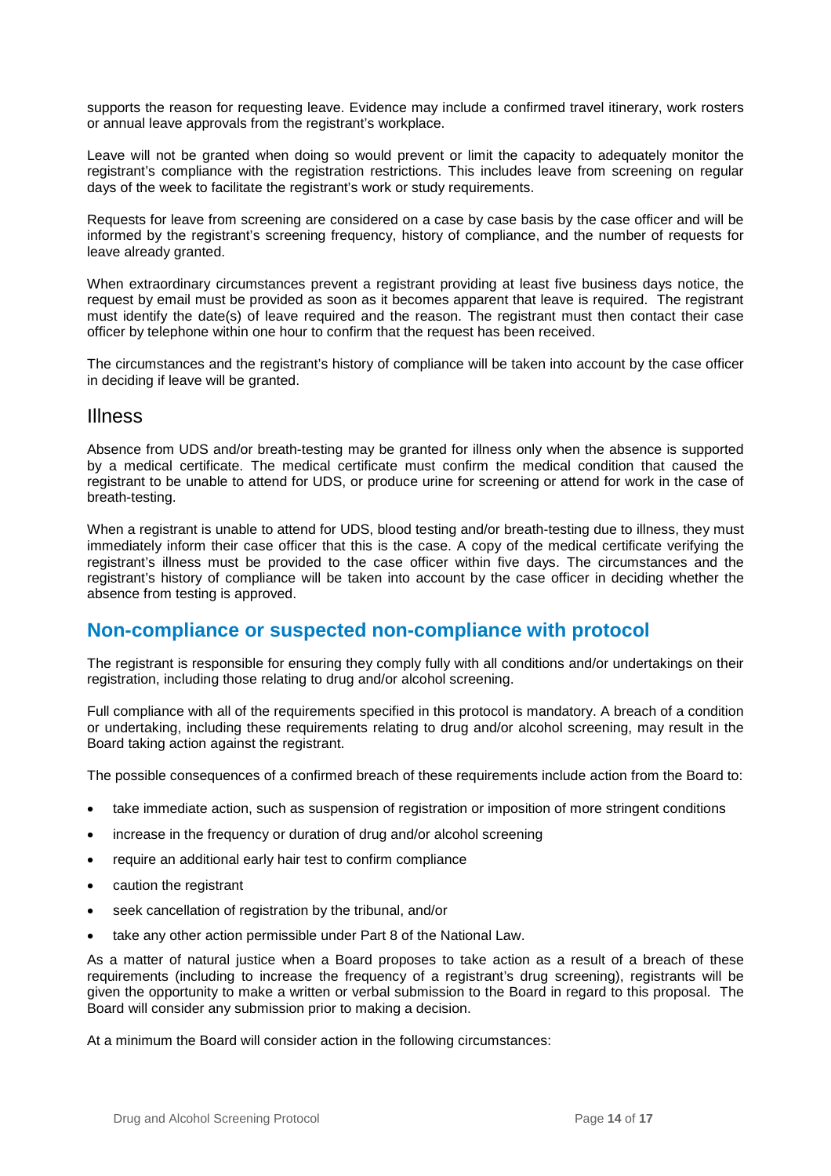supports the reason for requesting leave. Evidence may include a confirmed travel itinerary, work rosters or annual leave approvals from the registrant's workplace.

Leave will not be granted when doing so would prevent or limit the capacity to adequately monitor the registrant's compliance with the registration restrictions. This includes leave from screening on regular days of the week to facilitate the registrant's work or study requirements.

Requests for leave from screening are considered on a case by case basis by the case officer and will be informed by the registrant's screening frequency, history of compliance, and the number of requests for leave already granted.

When extraordinary circumstances prevent a registrant providing at least five business days notice, the request by email must be provided as soon as it becomes apparent that leave is required. The registrant must identify the date(s) of leave required and the reason. The registrant must then contact their case officer by telephone within one hour to confirm that the request has been received.

The circumstances and the registrant's history of compliance will be taken into account by the case officer in deciding if leave will be granted.

#### <span id="page-13-0"></span>Illness

Absence from UDS and/or breath-testing may be granted for illness only when the absence is supported by a medical certificate. The medical certificate must confirm the medical condition that caused the registrant to be unable to attend for UDS, or produce urine for screening or attend for work in the case of breath-testing.

When a registrant is unable to attend for UDS, blood testing and/or breath-testing due to illness, they must immediately inform their case officer that this is the case. A copy of the medical certificate verifying the registrant's illness must be provided to the case officer within five days. The circumstances and the registrant's history of compliance will be taken into account by the case officer in deciding whether the absence from testing is approved.

### <span id="page-13-1"></span>**Non-compliance or suspected non-compliance with protocol**

The registrant is responsible for ensuring they comply fully with all conditions and/or undertakings on their registration, including those relating to drug and/or alcohol screening.

Full compliance with all of the requirements specified in this protocol is mandatory. A breach of a condition or undertaking, including these requirements relating to drug and/or alcohol screening, may result in the Board taking action against the registrant.

The possible consequences of a confirmed breach of these requirements include action from the Board to:

- take immediate action, such as suspension of registration or imposition of more stringent conditions
- increase in the frequency or duration of drug and/or alcohol screening
- require an additional early hair test to confirm compliance
- caution the registrant
- seek cancellation of registration by the tribunal, and/or
- take any other action permissible under Part 8 of the National Law.

As a matter of natural justice when a Board proposes to take action as a result of a breach of these requirements (including to increase the frequency of a registrant's drug screening), registrants will be given the opportunity to make a written or verbal submission to the Board in regard to this proposal. The Board will consider any submission prior to making a decision.

At a minimum the Board will consider action in the following circumstances: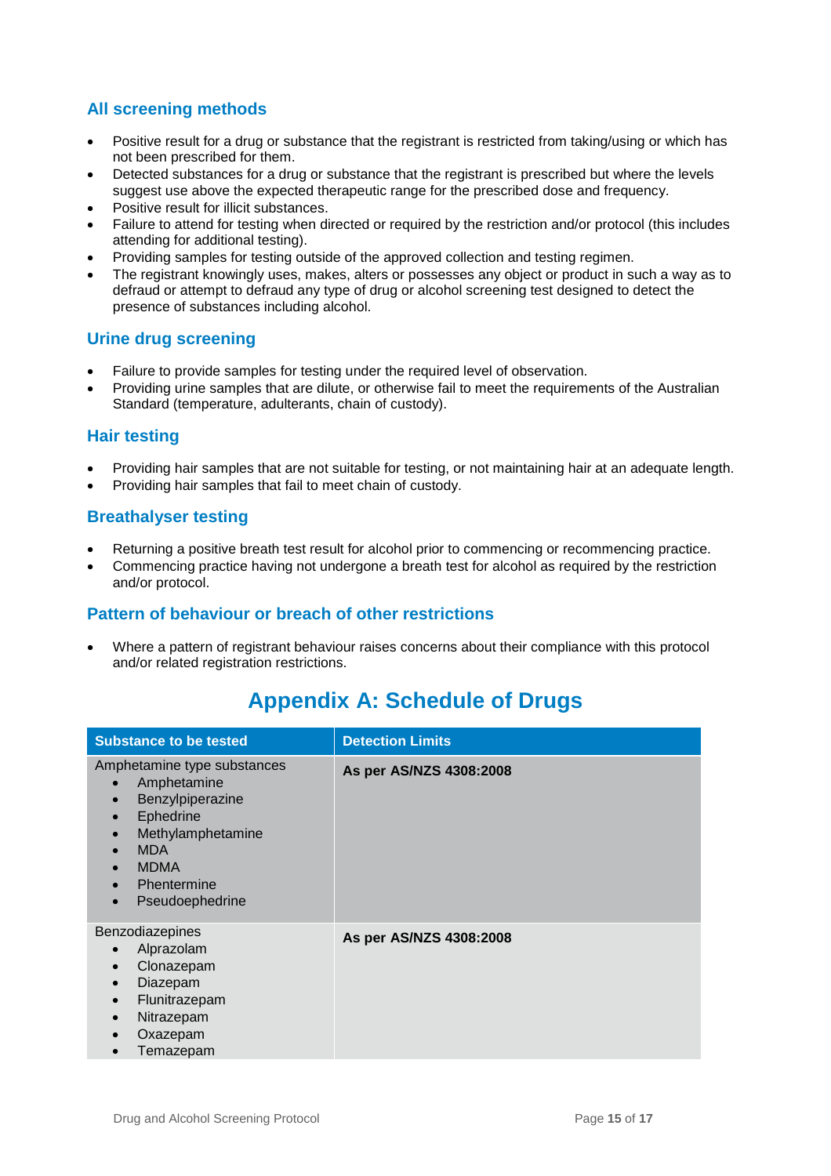### **All screening methods**

- Positive result for a drug or substance that the registrant is restricted from taking/using or which has not been prescribed for them.
- Detected substances for a drug or substance that the registrant is prescribed but where the levels suggest use above the expected therapeutic range for the prescribed dose and frequency.
- Positive result for illicit substances.
- Failure to attend for testing when directed or required by the restriction and/or protocol (this includes attending for additional testing).
- Providing samples for testing outside of the approved collection and testing regimen.
- The registrant knowingly uses, makes, alters or possesses any object or product in such a way as to defraud or attempt to defraud any type of drug or alcohol screening test designed to detect the presence of substances including alcohol.

#### **Urine drug screening**

- Failure to provide samples for testing under the required level of observation.
- Providing urine samples that are dilute, or otherwise fail to meet the requirements of the Australian Standard (temperature, adulterants, chain of custody).

#### **Hair testing**

- Providing hair samples that are not suitable for testing, or not maintaining hair at an adequate length.
- Providing hair samples that fail to meet chain of custody.

#### **Breathalyser testing**

- Returning a positive breath test result for alcohol prior to commencing or recommencing practice.
- Commencing practice having not undergone a breath test for alcohol as required by the restriction and/or protocol.

#### **Pattern of behaviour or breach of other restrictions**

<span id="page-14-0"></span>• Where a pattern of registrant behaviour raises concerns about their compliance with this protocol and/or related registration restrictions.

| <b>Substance to be tested</b>                                                                                                                                   | <b>Detection Limits</b> |
|-----------------------------------------------------------------------------------------------------------------------------------------------------------------|-------------------------|
| Amphetamine type substances<br>Amphetamine<br>Benzylpiperazine<br>Ephedrine<br>Methylamphetamine<br><b>MDA</b><br><b>MDMA</b><br>Phentermine<br>Pseudoephedrine | As per AS/NZS 4308:2008 |
| Benzodiazepines<br>Alprazolam<br>Clonazepam<br>Diazepam<br>Flunitrazepam<br>Nitrazepam<br>Oxazepam<br>Temazepam                                                 | As per AS/NZS 4308:2008 |

# **Appendix A: Schedule of Drugs**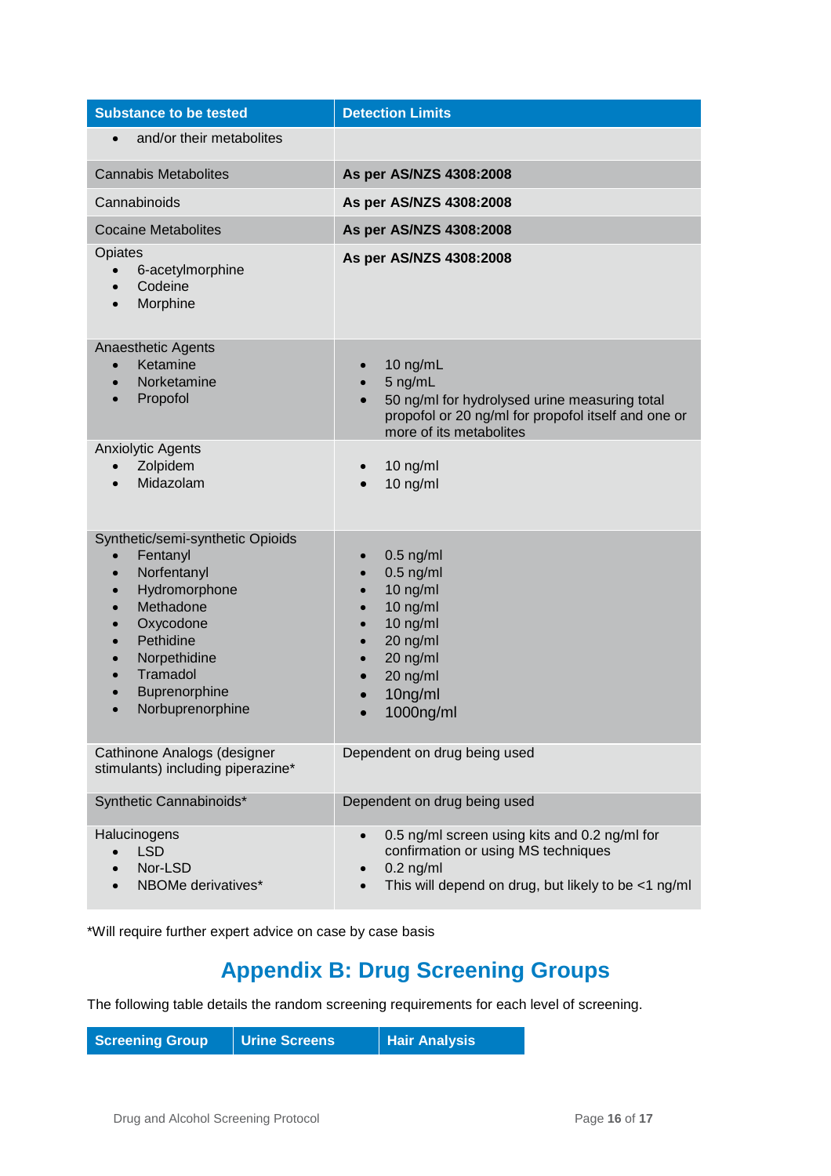| <b>Substance to be tested</b>                                                                                                                                                                                                                                                                | <b>Detection Limits</b>                                                                                                                                                                                    |  |
|----------------------------------------------------------------------------------------------------------------------------------------------------------------------------------------------------------------------------------------------------------------------------------------------|------------------------------------------------------------------------------------------------------------------------------------------------------------------------------------------------------------|--|
| and/or their metabolites<br>$\bullet$                                                                                                                                                                                                                                                        |                                                                                                                                                                                                            |  |
| <b>Cannabis Metabolites</b>                                                                                                                                                                                                                                                                  | As per AS/NZS 4308:2008                                                                                                                                                                                    |  |
| Cannabinoids                                                                                                                                                                                                                                                                                 | As per AS/NZS 4308:2008                                                                                                                                                                                    |  |
| <b>Cocaine Metabolites</b>                                                                                                                                                                                                                                                                   | As per AS/NZS 4308:2008                                                                                                                                                                                    |  |
| Opiates<br>6-acetylmorphine<br>$\bullet$<br>Codeine<br>$\bullet$<br>Morphine                                                                                                                                                                                                                 | As per AS/NZS 4308:2008                                                                                                                                                                                    |  |
| Anaesthetic Agents<br>Ketamine<br>$\bullet$<br>Norketamine<br>$\bullet$<br>Propofol<br>$\bullet$                                                                                                                                                                                             | 10 ng/mL<br>5 ng/mL<br>$\bullet$<br>50 ng/ml for hydrolysed urine measuring total<br>$\bullet$<br>propofol or 20 ng/ml for propofol itself and one or<br>more of its metabolites                           |  |
| <b>Anxiolytic Agents</b><br>Zolpidem<br>Midazolam                                                                                                                                                                                                                                            | $10$ ng/ml<br>$10$ ng/ml                                                                                                                                                                                   |  |
| Synthetic/semi-synthetic Opioids<br>Fentanyl<br>$\bullet$<br>Norfentanyl<br>$\bullet$<br>Hydromorphone<br>$\bullet$<br>Methadone<br>$\bullet$<br>Oxycodone<br>$\bullet$<br>Pethidine<br>$\bullet$<br>Norpethidine<br>$\bullet$<br>Tramadol<br>$\bullet$<br>Buprenorphine<br>Norbuprenorphine | $0.5$ ng/ml<br>$\bullet$<br>$0.5$ ng/ml<br>10 ng/ml<br>$\bullet$<br>$10$ ng/ml<br>$\bullet$<br>10 ng/ml<br>$\bullet$<br>20 ng/ml<br>$\bullet$<br>20 ng/ml<br>$\bullet$<br>20 ng/ml<br>10ng/ml<br>1000ng/ml |  |
| Cathinone Analogs (designer<br>stimulants) including piperazine*                                                                                                                                                                                                                             | Dependent on drug being used                                                                                                                                                                               |  |
| Synthetic Cannabinoids*                                                                                                                                                                                                                                                                      | Dependent on drug being used                                                                                                                                                                               |  |
| Halucinogens<br><b>LSD</b><br>$\bullet$<br>Nor-LSD<br>$\bullet$<br>NBOMe derivatives*                                                                                                                                                                                                        | 0.5 ng/ml screen using kits and 0.2 ng/ml for<br>$\bullet$<br>confirmation or using MS techniques<br>$0.2$ ng/ml<br>This will depend on drug, but likely to be <1 ng/ml                                    |  |

<span id="page-15-0"></span>\*Will require further expert advice on case by case basis

# **Appendix B: Drug Screening Groups**

The following table details the random screening requirements for each level of screening.

| <b>Screening Group</b> | Urine Screens | <b>Hair Analysis</b> |
|------------------------|---------------|----------------------|
|------------------------|---------------|----------------------|